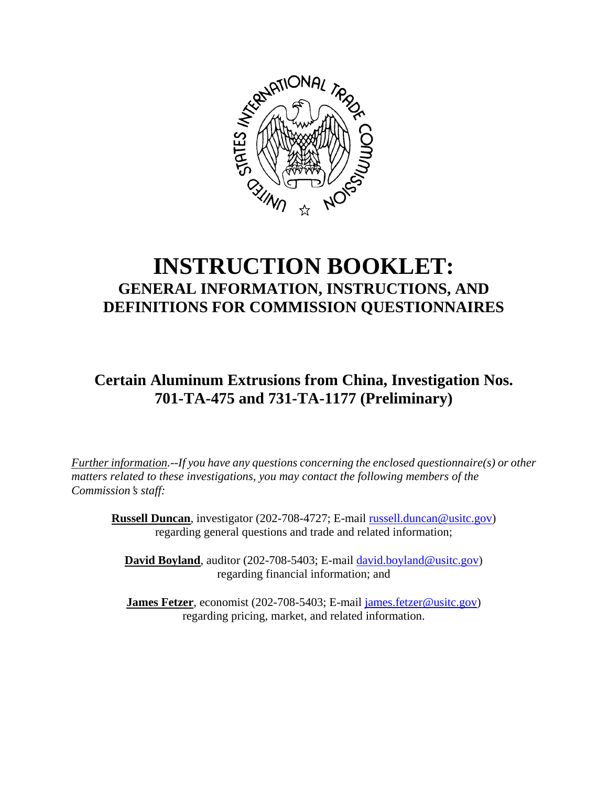

## **INSTRUCTION BOOKLET: GENERAL INFORMATION, INSTRUCTIONS, AND DEFINITIONS FOR COMMISSION QUESTIONNAIRES**

**Certain Aluminum Extrusions from China, Investigation Nos. 701-TA-475 and 731-TA-1177 (Preliminary)**

*Further information.--If you have any questions concerning the enclosed questionnaire(s) or other matters related to these investigations, you may contact the following members of the Commission*=*s staff:* 

**Russell Duncan**, investigator (202-708-4727; E-mail russell.duncan@usitc.gov) regarding general questions and trade and related information;

**David Boyland**, auditor (202-708-5403; E-mail david.boyland@usitc.gov) regarding financial information; and

**James Fetzer**, economist (202-708-5403; E-mail james.fetzer@usitc.gov) regarding pricing, market, and related information.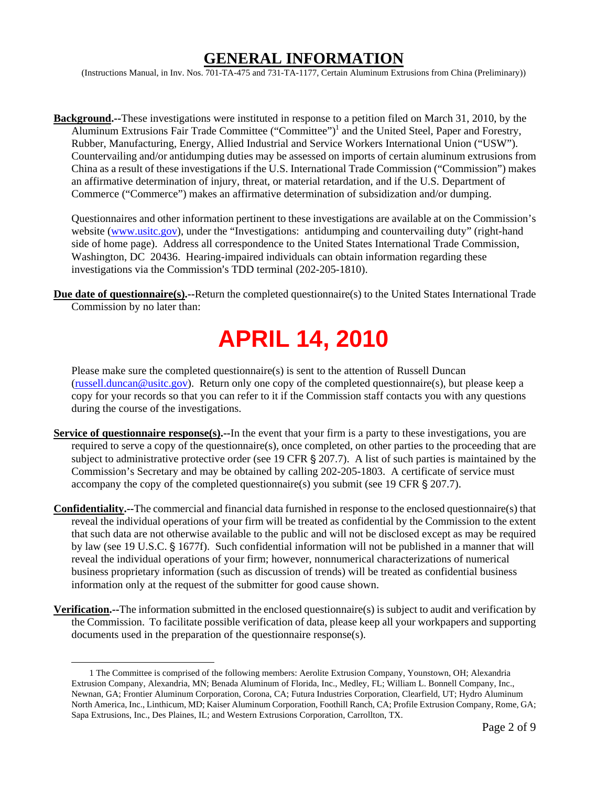### **GENERAL INFORMATION**

(Instructions Manual, in Inv. Nos. 701-TA-475 and 731-TA-1177, Certain Aluminum Extrusions from China (Preliminary))

**Background.--**These investigations were instituted in response to a petition filed on March 31, 2010, by the Aluminum Extrusions Fair Trade Committee ("Committee")<sup>1</sup> and the United Steel, Paper and Forestry, Rubber, Manufacturing, Energy, Allied Industrial and Service Workers International Union ("USW"). Countervailing and/or antidumping duties may be assessed on imports of certain aluminum extrusions from China as a result of these investigations if the U.S. International Trade Commission ("Commission") makes an affirmative determination of injury, threat, or material retardation, and if the U.S. Department of Commerce ("Commerce") makes an affirmative determination of subsidization and/or dumping.

Questionnaires and other information pertinent to these investigations are available at on the Commission's website (www.usitc.gov), under the "Investigations: antidumping and countervailing duty" (right-hand side of home page). Address all correspondence to the United States International Trade Commission, Washington, DC 20436. Hearing-impaired individuals can obtain information regarding these investigations via the Commission's TDD terminal (202-205-1810).

**Due date of questionnaire(s).--**Return the completed questionnaire(s) to the United States International Trade Commission by no later than:

# **APRIL 14, 2010**

Please make sure the completed questionnaire(s) is sent to the attention of Russell Duncan (russell.duncan@usitc.gov). Return only one copy of the completed questionnaire(s), but please keep a copy for your records so that you can refer to it if the Commission staff contacts you with any questions during the course of the investigations.

- **Service of questionnaire response(s).**--In the event that your firm is a party to these investigations, you are required to serve a copy of the questionnaire(s), once completed, on other parties to the proceeding that are subject to administrative protective order (see 19 CFR  $\S$  207.7). A list of such parties is maintained by the Commission's Secretary and may be obtained by calling 202-205-1803. A certificate of service must accompany the copy of the completed questionnaire(s) you submit (see 19 CFR  $\S$  207.7).
- **Confidentiality.--**The commercial and financial data furnished in response to the enclosed questionnaire(s) that reveal the individual operations of your firm will be treated as confidential by the Commission to the extent that such data are not otherwise available to the public and will not be disclosed except as may be required by law (see 19 U.S.C. § 1677f). Such confidential information will not be published in a manner that will reveal the individual operations of your firm; however, nonnumerical characterizations of numerical business proprietary information (such as discussion of trends) will be treated as confidential business information only at the request of the submitter for good cause shown.
- **Verification.--**The information submitted in the enclosed questionnaire(s) is subject to audit and verification by the Commission. To facilitate possible verification of data, please keep all your workpapers and supporting documents used in the preparation of the questionnaire response(s).

 <sup>1</sup> The Committee is comprised of the following members: Aerolite Extrusion Company, Younstown, OH; Alexandria Extrusion Company, Alexandria, MN; Benada Aluminum of Florida, Inc., Medley, FL; William L. Bonnell Company, Inc., Newnan, GA; Frontier Aluminum Corporation, Corona, CA; Futura Industries Corporation, Clearfield, UT; Hydro Aluminum North America, Inc., Linthicum, MD; Kaiser Aluminum Corporation, Foothill Ranch, CA; Profile Extrusion Company, Rome, GA; Sapa Extrusions, Inc., Des Plaines, IL; and Western Extrusions Corporation, Carrollton, TX.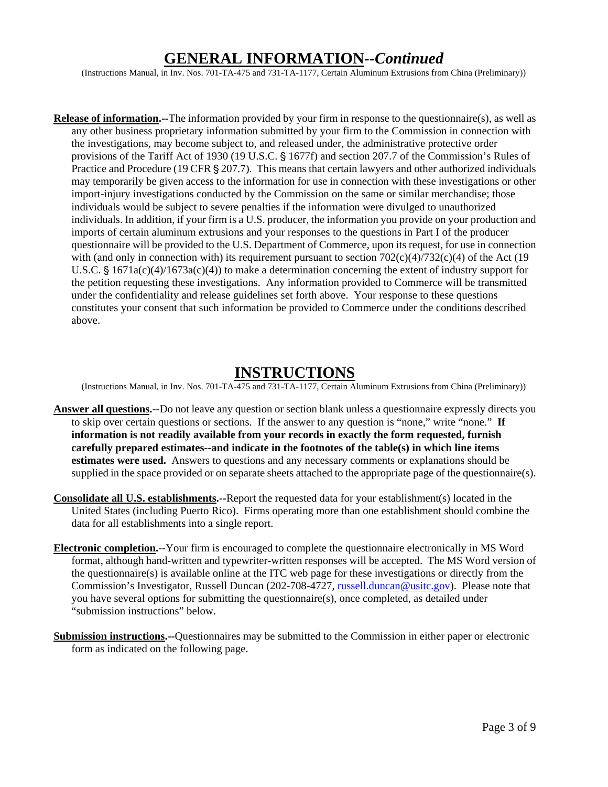### **GENERAL INFORMATION--***Continued*

(Instructions Manual, in Inv. Nos. 701-TA-475 and 731-TA-1177, Certain Aluminum Extrusions from China (Preliminary))

**Release of information.--**The information provided by your firm in response to the questionnaire(s), as well as any other business proprietary information submitted by your firm to the Commission in connection with the investigations, may become subject to, and released under, the administrative protective order provisions of the Tariff Act of 1930 (19 U.S.C. § 1677f) and section 207.7 of the Commission's Rules of Practice and Procedure (19 CFR  $\S 207.7$ ). This means that certain lawyers and other authorized individuals may temporarily be given access to the information for use in connection with these investigations or other import-injury investigations conducted by the Commission on the same or similar merchandise; those individuals would be subject to severe penalties if the information were divulged to unauthorized individuals. In addition, if your firm is a U.S. producer, the information you provide on your production and imports of certain aluminum extrusions and your responses to the questions in Part I of the producer questionnaire will be provided to the U.S. Department of Commerce, upon its request, for use in connection with (and only in connection with) its requirement pursuant to section  $702(c)(4)/732(c)(4)$  of the Act (19 U.S.C.  $\frac{1}{2}$  1671a(c)(4)/1673a(c)(4)) to make a determination concerning the extent of industry support for the petition requesting these investigations. Any information provided to Commerce will be transmitted under the confidentiality and release guidelines set forth above. Your response to these questions constitutes your consent that such information be provided to Commerce under the conditions described above.

### **INSTRUCTIONS**

(Instructions Manual, in Inv. Nos. 701-TA-475 and 731-TA-1177, Certain Aluminum Extrusions from China (Preliminary))

- **Answer all questions.--**Do not leave any question or section blank unless a questionnaire expressly directs you to skip over certain questions or sections. If the answer to any question is "none," write "none." **If information is not readily available from your records in exactly the form requested, furnish carefully prepared estimates--and indicate in the footnotes of the table(s) in which line items estimates were used.** Answers to questions and any necessary comments or explanations should be supplied in the space provided or on separate sheets attached to the appropriate page of the questionnaire(s).
- **Consolidate all U.S. establishments.--**Report the requested data for your establishment(s) located in the United States (including Puerto Rico). Firms operating more than one establishment should combine the data for all establishments into a single report.
- **Electronic completion.--**Your firm is encouraged to complete the questionnaire electronically in MS Word format, although hand-written and typewriter-written responses will be accepted. The MS Word version of the questionnaire(s) is available online at the ITC web page for these investigations or directly from the Commission's Investigator, Russell Duncan (202-708-4727, russell.duncan@usitc.gov). Please note that you have several options for submitting the questionnaire(s), once completed, as detailed under "submission instructions" below.
- **Submission instructions.--**Questionnaires may be submitted to the Commission in either paper or electronic form as indicated on the following page.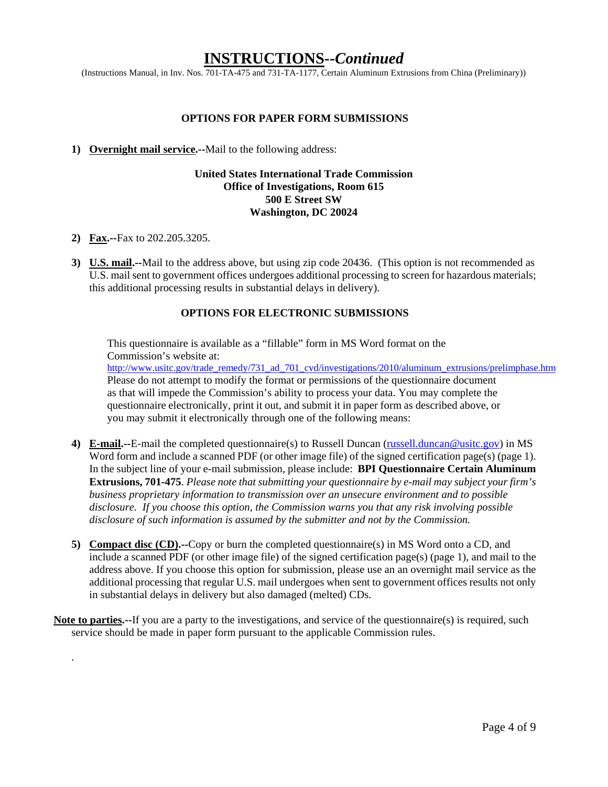### **INSTRUCTIONS--***Continued*

(Instructions Manual, in Inv. Nos. 701-TA-475 and 731-TA-1177, Certain Aluminum Extrusions from China (Preliminary))

#### **OPTIONS FOR PAPER FORM SUBMISSIONS**

#### **1) Overnight mail service.--**Mail to the following address:

#### **United States International Trade Commission Office of Investigations, Room 615 500 E Street SW Washington, DC 20024**

**2) Fax.--**Fax to 202.205.3205.

.

**3) U.S. mail.--**Mail to the address above, but using zip code 20436. (This option is not recommended as U.S. mail sent to government offices undergoes additional processing to screen for hazardous materials; this additional processing results in substantial delays in delivery).

#### **OPTIONS FOR ELECTRONIC SUBMISSIONS**

This questionnaire is available as a "fillable" form in MS Word format on the Commission's website at:

http://www.usitc.gov/trade\_remedy/731\_ad\_701\_cvd/investigations/2010/aluminum\_extrusions/prelimphase.htm Please do not attempt to modify the format or permissions of the questionnaire document as that will impede the Commission's ability to process your data. You may complete the questionnaire electronically, print it out, and submit it in paper form as described above, or you may submit it electronically through one of the following means:

- **4) E-mail.--**E-mail the completed questionnaire(s) to Russell Duncan (russell.duncan@usitc.gov) in MS Word form and include a scanned PDF (or other image file) of the signed certification page(s) (page 1). In the subject line of your e-mail submission, please include: **BPI Questionnaire Certain Aluminum Extrusions, 701-475**. *Please note that submitting your questionnaire by e-mail may subject your firm's business proprietary information to transmission over an unsecure environment and to possible disclosure. If you choose this option, the Commission warns you that any risk involving possible disclosure of such information is assumed by the submitter and not by the Commission.*
- **5) Compact disc (CD).--**Copy or burn the completed questionnaire(s) in MS Word onto a CD, and include a scanned PDF (or other image file) of the signed certification page(s) (page 1), and mail to the address above. If you choose this option for submission, please use an an overnight mail service as the additional processing that regular U.S. mail undergoes when sent to government offices results not only in substantial delays in delivery but also damaged (melted) CDs.
- **Note to parties.--**If you are a party to the investigations, and service of the questionnaire(s) is required, such service should be made in paper form pursuant to the applicable Commission rules.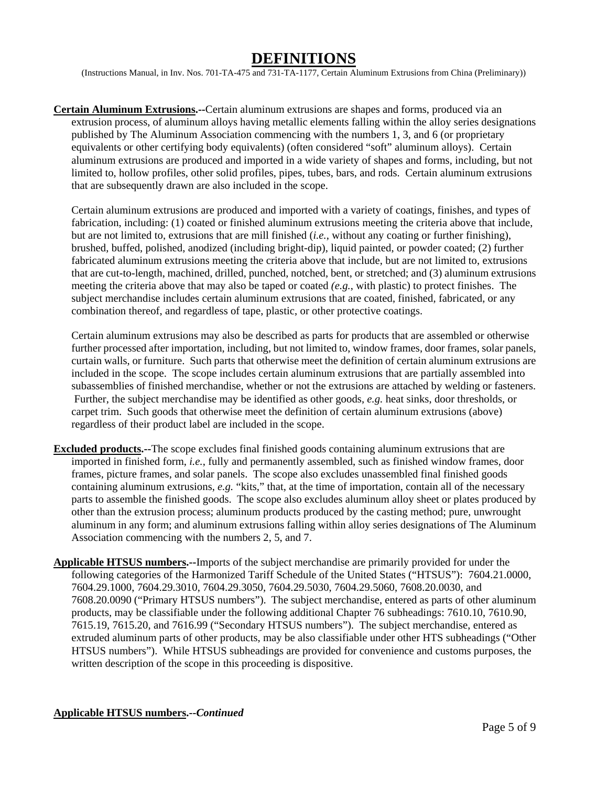### **DEFINITIONS**

(Instructions Manual, in Inv. Nos. 701-TA-475 and 731-TA-1177, Certain Aluminum Extrusions from China (Preliminary))

**Certain Aluminum Extrusions.--**Certain aluminum extrusions are shapes and forms, produced via an extrusion process, of aluminum alloys having metallic elements falling within the alloy series designations published by The Aluminum Association commencing with the numbers 1, 3, and 6 (or proprietary equivalents or other certifying body equivalents) (often considered "soft" aluminum alloys). Certain aluminum extrusions are produced and imported in a wide variety of shapes and forms, including, but not limited to, hollow profiles, other solid profiles, pipes, tubes, bars, and rods. Certain aluminum extrusions that are subsequently drawn are also included in the scope.

Certain aluminum extrusions are produced and imported with a variety of coatings, finishes, and types of fabrication, including: (1) coated or finished aluminum extrusions meeting the criteria above that include, but are not limited to, extrusions that are mill finished (*i.e.*, without any coating or further finishing), brushed, buffed, polished, anodized (including bright-dip), liquid painted, or powder coated; (2) further fabricated aluminum extrusions meeting the criteria above that include, but are not limited to, extrusions that are cut-to-length, machined, drilled, punched, notched, bent, or stretched; and (3) aluminum extrusions meeting the criteria above that may also be taped or coated *(e.g.*, with plastic) to protect finishes. The subject merchandise includes certain aluminum extrusions that are coated, finished, fabricated, or any combination thereof, and regardless of tape, plastic, or other protective coatings.

Certain aluminum extrusions may also be described as parts for products that are assembled or otherwise further processed after importation, including, but not limited to, window frames, door frames, solar panels, curtain walls, or furniture. Such parts that otherwise meet the definition of certain aluminum extrusions are included in the scope. The scope includes certain aluminum extrusions that are partially assembled into subassemblies of finished merchandise, whether or not the extrusions are attached by welding or fasteners. Further, the subject merchandise may be identified as other goods, *e.g.* heat sinks, door thresholds, or carpet trim. Such goods that otherwise meet the definition of certain aluminum extrusions (above) regardless of their product label are included in the scope.

- **Excluded products.--**The scope excludes final finished goods containing aluminum extrusions that are imported in finished form, *i.e.*, fully and permanently assembled, such as finished window frames, door frames, picture frames, and solar panels. The scope also excludes unassembled final finished goods containing aluminum extrusions, *e.g.* "kits," that, at the time of importation, contain all of the necessary parts to assemble the finished goods. The scope also excludes aluminum alloy sheet or plates produced by other than the extrusion process; aluminum products produced by the casting method; pure, unwrought aluminum in any form; and aluminum extrusions falling within alloy series designations of The Aluminum Association commencing with the numbers 2, 5, and 7.
- **Applicable HTSUS numbers.--**Imports of the subject merchandise are primarily provided for under the following categories of the Harmonized Tariff Schedule of the United States ("HTSUS"): 7604.21.0000, 7604.29.1000, 7604.29.3010, 7604.29.3050, 7604.29.5030, 7604.29.5060, 7608.20.0030, and 7608.20.0090 ("Primary HTSUS numbers"). The subject merchandise, entered as parts of other aluminum products, may be classifiable under the following additional Chapter 76 subheadings: 7610.10, 7610.90, 7615.19, 7615.20, and 7616.99 ("Secondary HTSUS numbers"). The subject merchandise, entered as extruded aluminum parts of other products, may be also classifiable under other HTS subheadings ("Other HTSUS numbers"). While HTSUS subheadings are provided for convenience and customs purposes, the written description of the scope in this proceeding is dispositive.

#### **Applicable HTSUS numbers.--***Continued*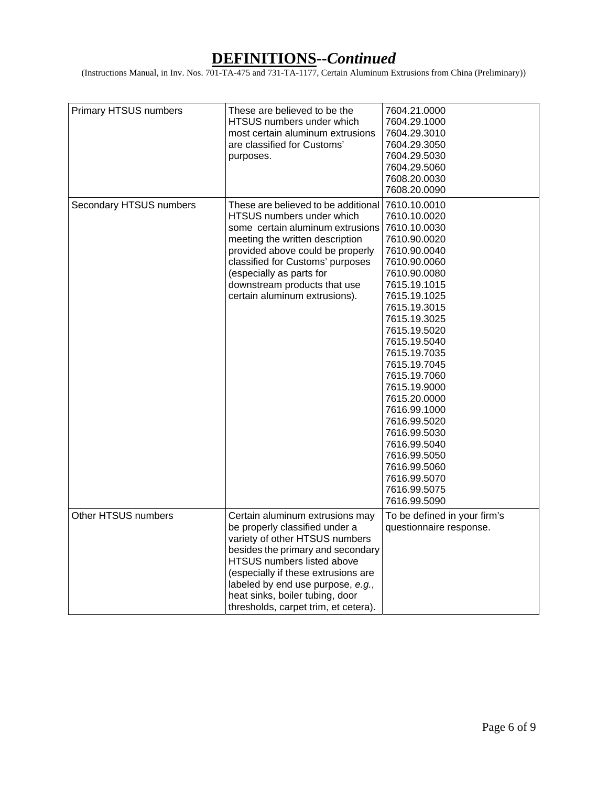(Instructions Manual, in Inv. Nos. 701-TA-475 and 731-TA-1177, Certain Aluminum Extrusions from China (Preliminary))

| Primary HTSUS numbers   | These are believed to be the<br>HTSUS numbers under which<br>most certain aluminum extrusions<br>are classified for Customs'<br>purposes.                                                                                                                                                                                     | 7604.21.0000<br>7604.29.1000<br>7604.29.3010<br>7604.29.3050<br>7604.29.5030<br>7604.29.5060<br>7608.20.0030<br>7608.20.0090                                                                                                                                                                                                                                                                                                                 |
|-------------------------|-------------------------------------------------------------------------------------------------------------------------------------------------------------------------------------------------------------------------------------------------------------------------------------------------------------------------------|----------------------------------------------------------------------------------------------------------------------------------------------------------------------------------------------------------------------------------------------------------------------------------------------------------------------------------------------------------------------------------------------------------------------------------------------|
| Secondary HTSUS numbers | These are believed to be additional<br>HTSUS numbers under which<br>some certain aluminum extrusions<br>meeting the written description<br>provided above could be properly<br>classified for Customs' purposes<br>(especially as parts for<br>downstream products that use<br>certain aluminum extrusions).                  | 7610.10.0010<br>7610.10.0020<br>7610.10.0030<br>7610.90.0020<br>7610.90.0040<br>7610.90.0060<br>7610.90.0080<br>7615.19.1015<br>7615.19.1025<br>7615.19.3015<br>7615.19.3025<br>7615.19.5020<br>7615.19.5040<br>7615.19.7035<br>7615.19.7045<br>7615.19.7060<br>7615.19.9000<br>7615.20.0000<br>7616.99.1000<br>7616.99.5020<br>7616.99.5030<br>7616.99.5040<br>7616.99.5050<br>7616.99.5060<br>7616.99.5070<br>7616.99.5075<br>7616.99.5090 |
| Other HTSUS numbers     | Certain aluminum extrusions may<br>be properly classified under a<br>variety of other HTSUS numbers<br>besides the primary and secondary<br>HTSUS numbers listed above<br>(especially if these extrusions are<br>labeled by end use purpose, e.g.,<br>heat sinks, boiler tubing, door<br>thresholds, carpet trim, et cetera). | To be defined in your firm's<br>questionnaire response.                                                                                                                                                                                                                                                                                                                                                                                      |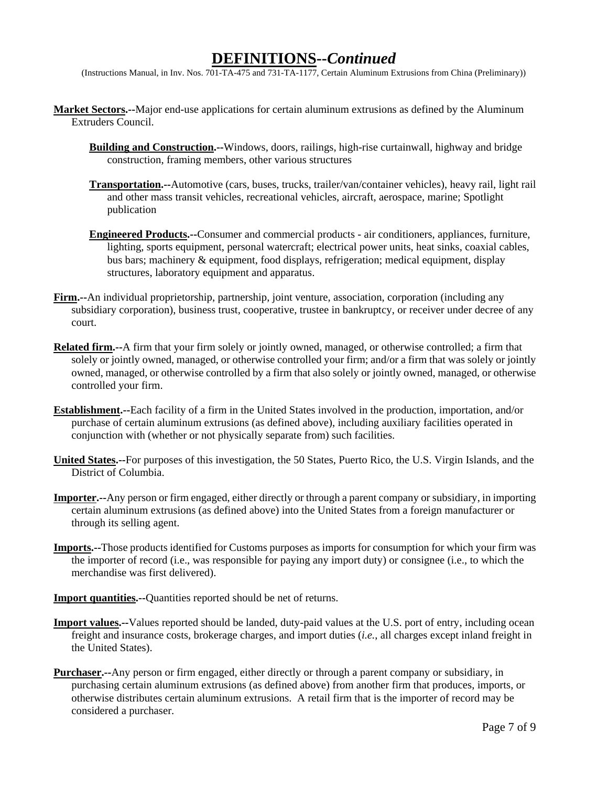(Instructions Manual, in Inv. Nos. 701-TA-475 and 731-TA-1177, Certain Aluminum Extrusions from China (Preliminary))

- **Market Sectors.--**Major end-use applications for certain aluminum extrusions as defined by the Aluminum Extruders Council.
	- **Building and Construction.--**Windows, doors, railings, high-rise curtainwall, highway and bridge construction, framing members, other various structures
	- **Transportation.--**Automotive (cars, buses, trucks, trailer/van/container vehicles), heavy rail, light rail and other mass transit vehicles, recreational vehicles, aircraft, aerospace, marine; Spotlight publication
	- **Engineered Products.--**Consumer and commercial products air conditioners, appliances, furniture, lighting, sports equipment, personal watercraft; electrical power units, heat sinks, coaxial cables, bus bars; machinery & equipment, food displays, refrigeration; medical equipment, display structures, laboratory equipment and apparatus.
- **Firm.--**An individual proprietorship, partnership, joint venture, association, corporation (including any subsidiary corporation), business trust, cooperative, trustee in bankruptcy, or receiver under decree of any court.
- **Related firm.--**A firm that your firm solely or jointly owned, managed, or otherwise controlled; a firm that solely or jointly owned, managed, or otherwise controlled your firm; and/or a firm that was solely or jointly owned, managed, or otherwise controlled by a firm that also solely or jointly owned, managed, or otherwise controlled your firm.
- **Establishment.--**Each facility of a firm in the United States involved in the production, importation, and/or purchase of certain aluminum extrusions (as defined above), including auxiliary facilities operated in conjunction with (whether or not physically separate from) such facilities.
- **United States.--**For purposes of this investigation, the 50 States, Puerto Rico, the U.S. Virgin Islands, and the District of Columbia.
- **Importer.--**Any person or firm engaged, either directly or through a parent company or subsidiary, in importing certain aluminum extrusions (as defined above) into the United States from a foreign manufacturer or through its selling agent.
- **Imports.--**Those products identified for Customs purposes as imports for consumption for which your firm was the importer of record (i.e., was responsible for paying any import duty) or consignee (i.e., to which the merchandise was first delivered).
- **Import quantities.**--Quantities reported should be net of returns.
- **Import values.--**Values reported should be landed, duty-paid values at the U.S. port of entry, including ocean freight and insurance costs, brokerage charges, and import duties (*i.e.*, all charges except inland freight in the United States).
- **Purchaser.--**Any person or firm engaged, either directly or through a parent company or subsidiary, in purchasing certain aluminum extrusions (as defined above) from another firm that produces, imports, or otherwise distributes certain aluminum extrusions. A retail firm that is the importer of record may be considered a purchaser.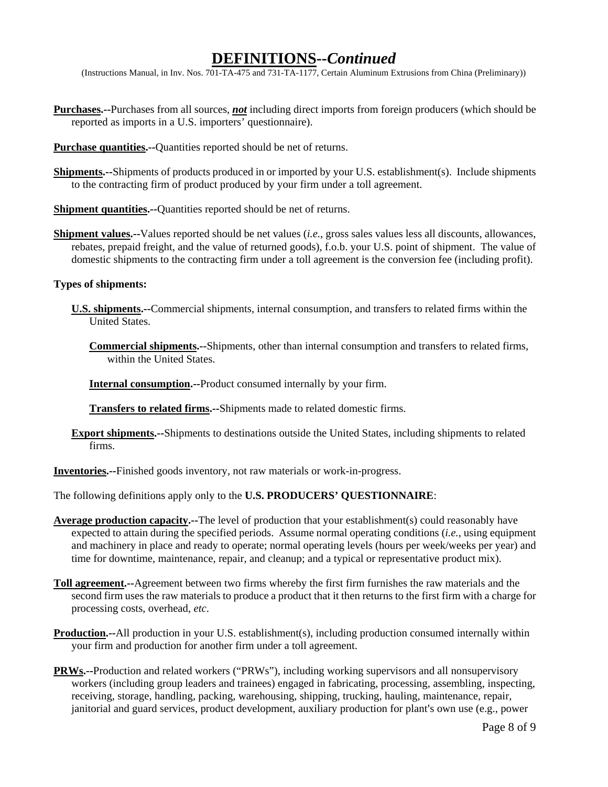(Instructions Manual, in Inv. Nos. 701-TA-475 and 731-TA-1177, Certain Aluminum Extrusions from China (Preliminary))

- **Purchases.--**Purchases from all sources, *not* including direct imports from foreign producers (which should be reported as imports in a U.S. importers' questionnaire).
- **Purchase quantities.--**Quantities reported should be net of returns.
- **Shipments.--**Shipments of products produced in or imported by your U.S. establishment(s). Include shipments to the contracting firm of product produced by your firm under a toll agreement.

**Shipment quantities.--**Quantities reported should be net of returns.

**Shipment values.--**Values reported should be net values (*i.e.*, gross sales values less all discounts, allowances, rebates, prepaid freight, and the value of returned goods), f.o.b. your U.S. point of shipment. The value of domestic shipments to the contracting firm under a toll agreement is the conversion fee (including profit).

#### **Types of shipments:**

- **U.S. shipments.--**Commercial shipments, internal consumption, and transfers to related firms within the United States.
	- **Commercial shipments.--**Shipments, other than internal consumption and transfers to related firms, within the United States.

**Internal consumption.--**Product consumed internally by your firm.

**Transfers to related firms.--**Shipments made to related domestic firms.

**Export shipments.--**Shipments to destinations outside the United States, including shipments to related firms.

**Inventories.--**Finished goods inventory, not raw materials or work-in-progress.

The following definitions apply only to the **U.S. PRODUCERS' QUESTIONNAIRE**:

- **Average production capacity.--**The level of production that your establishment(s) could reasonably have expected to attain during the specified periods. Assume normal operating conditions (*i.e.*, using equipment and machinery in place and ready to operate; normal operating levels (hours per week/weeks per year) and time for downtime, maintenance, repair, and cleanup; and a typical or representative product mix).
- **Toll agreement.--**Agreement between two firms whereby the first firm furnishes the raw materials and the second firm uses the raw materials to produce a product that it then returns to the first firm with a charge for processing costs, overhead, *etc*.
- **Production.--**All production in your U.S. establishment(s), including production consumed internally within your firm and production for another firm under a toll agreement.
- **PRWs.--**Production and related workers ("PRWs"), including working supervisors and all nonsupervisory workers (including group leaders and trainees) engaged in fabricating, processing, assembling, inspecting, receiving, storage, handling, packing, warehousing, shipping, trucking, hauling, maintenance, repair, janitorial and guard services, product development, auxiliary production for plant's own use (e.g., power